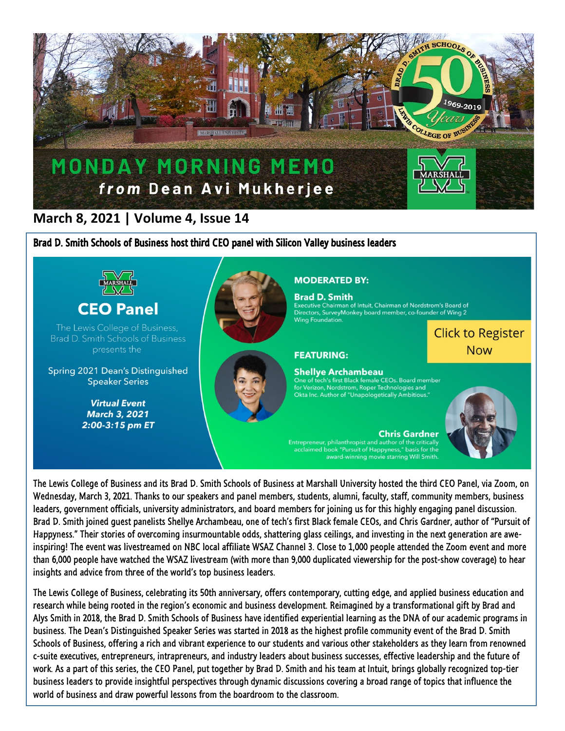

## **March 8, 2021 | Volume 4, Issue 14**

Brad D. Smith Schools of Business host third CEO panel with Silicon Valley business leaders



The Lewis College of Business and its Brad D. Smith Schools of Business at Marshall University hosted the third CEO Panel, via Zoom, on Wednesday, March 3, 2021. Thanks to our speakers and panel members, students, alumni, faculty, staff, community members, business leaders, government officials, university administrators, and board members for joining us for this highly engaging panel discussion. Brad D. Smith joined guest panelists Shellye Archambeau, one of tech's first Black female CEOs, and Chris Gardner, author of "Pursuit of Happyness." Their stories of overcoming insurmountable odds, shattering glass ceilings, and investing in the next generation are aweinspiring! The event was livestreamed on NBC local affiliate WSAZ Channel 3. Close to 1,000 people attended the Zoom event and more than 6,000 people have watched the WSAZ livestream (with more than 9,000 duplicated viewership for the post-show coverage) to hear insights and advice from three of the world's top business leaders.

The Lewis College of Business, celebrating its 50th anniversary, offers contemporary, cutting edge, and applied business education and research while being rooted in the region's economic and business development. Reimagined by a transformational gift by Brad and Alys Smith in 2018, the Brad D. Smith Schools of Business have identified experiential learning as the DNA of our academic programs in business. The Dean's Distinguished Speaker Series was started in 2018 as the highest profile community event of the Brad D. Smith Schools of Business, offering a rich and vibrant experience to our students and various other stakeholders as they learn from renowned c-suite executives, entrepreneurs, intrapreneurs, and industry leaders about business successes, effective leadership and the future of work. As a part of this series, the CEO Panel, put together by Brad D. Smith and his team at Intuit, brings globally recognized top-tier business leaders to provide insightful perspectives through dynamic discussions covering a broad range of topics that influence the world of business and draw powerful lessons from the boardroom to the classroom.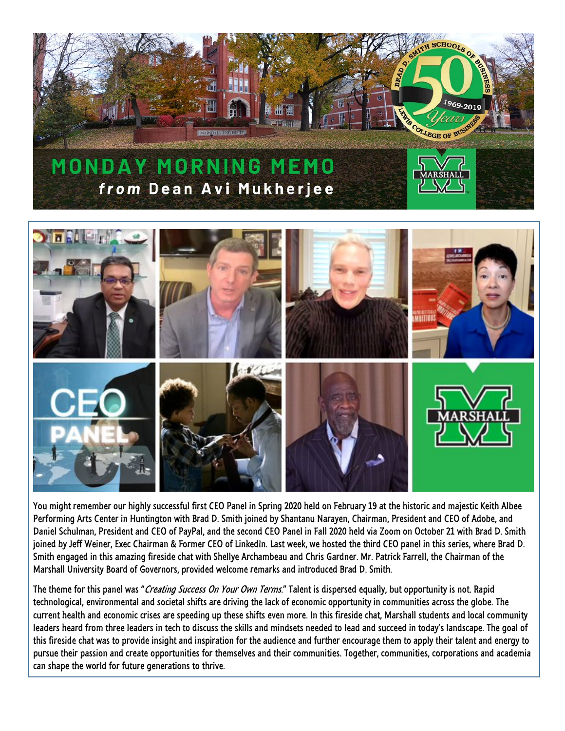



You might remember our highly successful first CEO Panel in Spring 2020 held on February 19 at the historic and majestic Keith Albee Performing Arts Center in Huntington with Brad D. Smith joined by Shantanu Narayen, Chairman, President and CEO of Adobe, and Daniel Schulman, President and CEO of PayPal, and the second CEO Panel in Fall 2020 held via Zoom on October 21 with Brad D. Smith joined by Jeff Weiner, Exec Chairman & Former CEO of LinkedIn. Last week, we hosted the third CEO panel in this series, where Brad D. Smith engaged in this amazing fireside chat with Shellye Archambeau and Chris Gardner. Mr. Patrick Farrell, the Chairman of the Marshall University Board of Governors, provided welcome remarks and introduced Brad D. Smith.

The theme for this panel was "Creating Success On Your Own Terms." Talent is dispersed equally, but opportunity is not. Rapid technological, environmental and societal shifts are driving the lack of economic opportunity in communities across the globe. The current health and economic crises are speeding up these shifts even more. In this fireside chat, Marshall students and local community leaders heard from three leaders in tech to discuss the skills and mindsets needed to lead and succeed in today's landscape. The goal of this fireside chat was to provide insight and inspiration for the audience and further encourage them to apply their talent and energy to pursue their passion and create opportunities for themselves and their communities. Together, communities, corporations and academia can shape the world for future generations to thrive.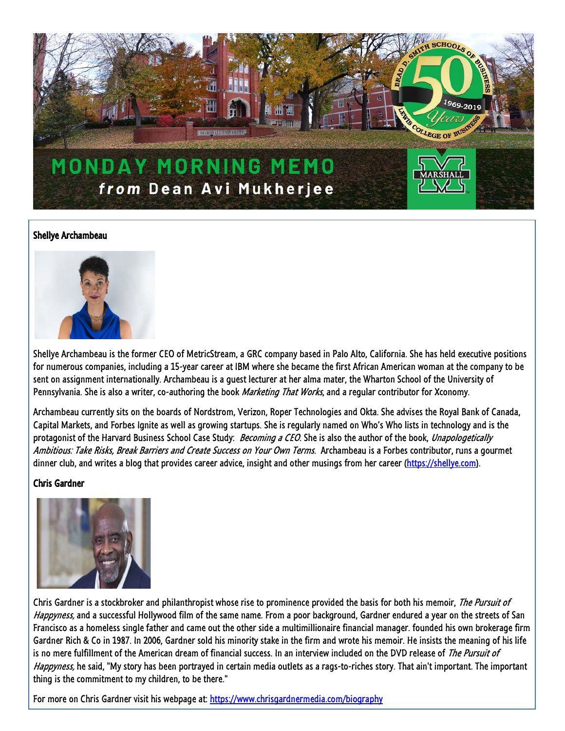

## Shellye Archambeau



Shellye Archambeau is the former CEO of MetricStream, a GRC company based in Palo Alto, California. She has held executive positions for numerous companies, including a 15-year career at IBM where she became the first African American woman at the company to be sent on assignment internationally. Archambeau is a guest lecturer at her alma mater, the Wharton School of the University of Pennsylvania. She is also a writer, co-authoring the book *Marketing That Works*, and a regular contributor for Xconomy.

Archambeau currently sits on the boards of Nordstrom, Verizon, Roper Technologies and Okta. She advises the Royal Bank of Canada, Capital Markets, and Forbes Ignite as well as growing startups. She is regularly named on Who's Who lists in technology and is the protagonist of the Harvard Business School Case Study: Becoming a CEO. She is also the author of the book, Unapologetically Ambitious: Take Risks, Break Barriers and Create Success on Your Own Terms. Archambeau is a Forbes contributor, runs a gourmet dinner club, and writes a blog that provides career advice, insight and other musings from her career [\(https://shellye.com\)](https://shellye.com/).

## Chris Gardner



Chris Gardner is a stockbroker and philanthropist whose rise to prominence provided the basis for both his memoir, The Pursuit of Happyness, and a successful Hollywood film of the same name. From a poor background, Gardner endured a year on the streets of San Francisco as a homeless single father and came out the other side a multimillionaire financial manager. founded his own brokerage firm Gardner Rich & Co in 1987. In 2006, Gardner sold his minority stake in the firm and wrote his memoir. He insists the meaning of his life is no mere fulfillment of the American dream of financial success. In an interview included on the DVD release of The Pursuit of Happyness, he said, "My story has been portrayed in certain media outlets as a rags-to-riches story. That ain't important. The important thing is the commitment to my children, to be there."

For more on Chris Gardner visit his webpage at[: https://www.chrisgardnermedia.com/biography](https://www.chrisgardnermedia.com/biography)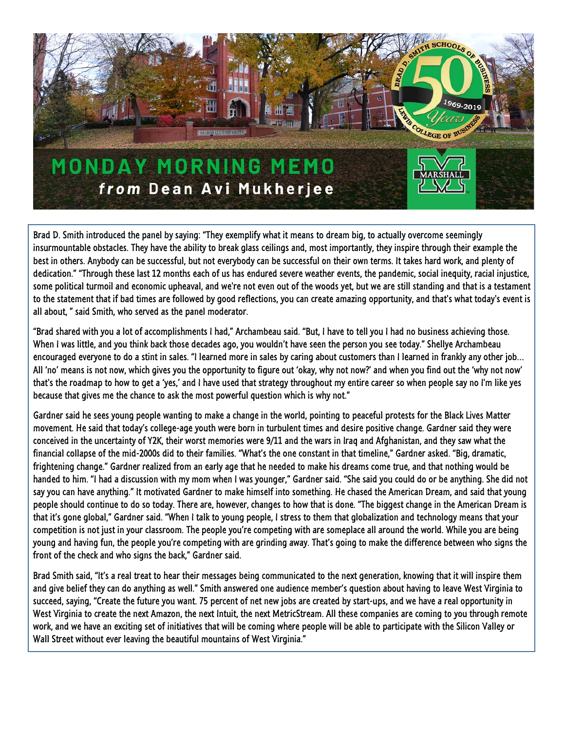

Brad D. Smith introduced the panel by saying: "They exemplify what it means to dream big, to actually overcome seemingly insurmountable obstacles. They have the ability to break glass ceilings and, most importantly, they inspire through their example the best in others. Anybody can be successful, but not everybody can be successful on their own terms. It takes hard work, and plenty of dedication." "Through these last 12 months each of us has endured severe weather events, the pandemic, social inequity, racial injustice, some political turmoil and economic upheaval, and we're not even out of the woods yet, but we are still standing and that is a testament to the statement that if bad times are followed by good reflections, you can create amazing opportunity, and that's what today's event is all about, " said Smith, who served as the panel moderator.

"Brad shared with you a lot of accomplishments I had," Archambeau said. "But, I have to tell you I had no business achieving those. When I was little, and you think back those decades ago, you wouldn't have seen the person you see today." Shellye Archambeau encouraged everyone to do a stint in sales. "I learned more in sales by caring about customers than I learned in frankly any other job… All 'no' means is not now, which gives you the opportunity to figure out 'okay, why not now?' and when you find out the 'why not now' that's the roadmap to how to get a 'yes,' and I have used that strategy throughout my entire career so when people say no I'm like yes because that gives me the chance to ask the most powerful question which is why not."

Gardner said he sees young people wanting to make a change in the world, pointing to peaceful protests for the Black Lives Matter movement. He said that today's college-age youth were born in turbulent times and desire positive change. Gardner said they were conceived in the uncertainty of Y2K, their worst memories were 9/11 and the wars in Iraq and Afghanistan, and they saw what the financial collapse of the mid-2000s did to their families. "What's the one constant in that timeline," Gardner asked. "Big, dramatic, frightening change." Gardner realized from an early age that he needed to make his dreams come true, and that nothing would be handed to him. "I had a discussion with my mom when I was younger," Gardner said. "She said you could do or be anything. She did not say you can have anything." It motivated Gardner to make himself into something. He chased the American Dream, and said that young people should continue to do so today. There are, however, changes to how that is done. "The biggest change in the American Dream is that it's gone global," Gardner said. "When I talk to young people, I stress to them that globalization and technology means that your competition is not just in your classroom. The people you're competing with are someplace all around the world. While you are being young and having fun, the people you're competing with are grinding away. That's going to make the difference between who signs the front of the check and who signs the back," Gardner said.

Brad Smith said, "It's a real treat to hear their messages being communicated to the next generation, knowing that it will inspire them and give belief they can do anything as well." Smith answered one audience member's question about having to leave West Virginia to succeed, saying, "Create the future you want. 75 percent of net new jobs are created by start-ups, and we have a real opportunity in West Virginia to create the next Amazon, the next Intuit, the next MetricStream. All these companies are coming to you through remote work, and we have an exciting set of initiatives that will be coming where people will be able to participate with the Silicon Valley or Wall Street without ever leaving the beautiful mountains of West Virginia."